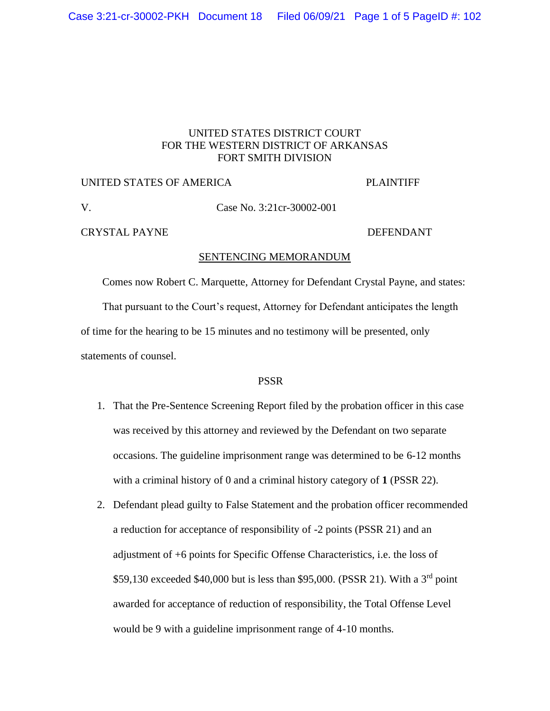# UNITED STATES DISTRICT COURT FOR THE WESTERN DISTRICT OF ARKANSAS FORT SMITH DIVISION

## UNITED STATES OF AMERICA PLAINTIFF

# V. Case No. 3:21cr-30002-001

## CRYSTAL PAYNE DEFENDANT

## SENTENCING MEMORANDUM

Comes now Robert C. Marquette, Attorney for Defendant Crystal Payne, and states:

 That pursuant to the Court's request, Attorney for Defendant anticipates the length of time for the hearing to be 15 minutes and no testimony will be presented, only statements of counsel.

## PSSR

- 1. That the Pre-Sentence Screening Report filed by the probation officer in this case was received by this attorney and reviewed by the Defendant on two separate occasions. The guideline imprisonment range was determined to be 6-12 months with a criminal history of 0 and a criminal history category of **1** (PSSR 22).
- 2. Defendant plead guilty to False Statement and the probation officer recommended a reduction for acceptance of responsibility of -2 points (PSSR 21) and an adjustment of +6 points for Specific Offense Characteristics, i.e. the loss of \$59,130 exceeded \$40,000 but is less than \$95,000. (PSSR 21). With a  $3<sup>rd</sup>$  point awarded for acceptance of reduction of responsibility, the Total Offense Level would be 9 with a guideline imprisonment range of 4-10 months.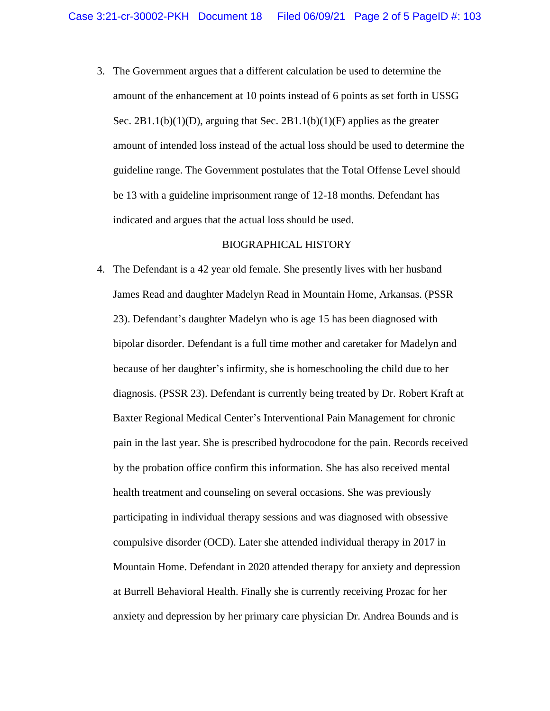3. The Government argues that a different calculation be used to determine the amount of the enhancement at 10 points instead of 6 points as set forth in USSG Sec.  $2B1.1(b)(1)(D)$ , arguing that Sec.  $2B1.1(b)(1)(F)$  applies as the greater amount of intended loss instead of the actual loss should be used to determine the guideline range. The Government postulates that the Total Offense Level should be 13 with a guideline imprisonment range of 12-18 months. Defendant has indicated and argues that the actual loss should be used.

## BIOGRAPHICAL HISTORY

4. The Defendant is a 42 year old female. She presently lives with her husband James Read and daughter Madelyn Read in Mountain Home, Arkansas. (PSSR 23). Defendant's daughter Madelyn who is age 15 has been diagnosed with bipolar disorder. Defendant is a full time mother and caretaker for Madelyn and because of her daughter's infirmity, she is homeschooling the child due to her diagnosis. (PSSR 23). Defendant is currently being treated by Dr. Robert Kraft at Baxter Regional Medical Center's Interventional Pain Management for chronic pain in the last year. She is prescribed hydrocodone for the pain. Records received by the probation office confirm this information. She has also received mental health treatment and counseling on several occasions. She was previously participating in individual therapy sessions and was diagnosed with obsessive compulsive disorder (OCD). Later she attended individual therapy in 2017 in Mountain Home. Defendant in 2020 attended therapy for anxiety and depression at Burrell Behavioral Health. Finally she is currently receiving Prozac for her anxiety and depression by her primary care physician Dr. Andrea Bounds and is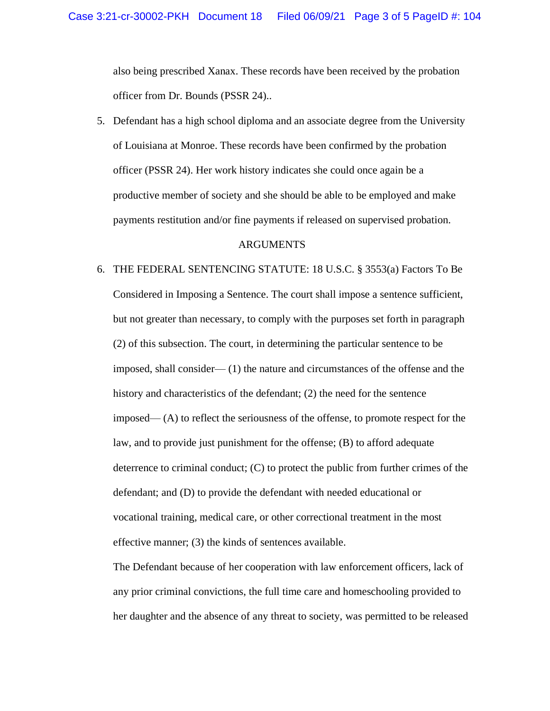also being prescribed Xanax. These records have been received by the probation officer from Dr. Bounds (PSSR 24)..

5. Defendant has a high school diploma and an associate degree from the University of Louisiana at Monroe. These records have been confirmed by the probation officer (PSSR 24). Her work history indicates she could once again be a productive member of society and she should be able to be employed and make payments restitution and/or fine payments if released on supervised probation.

## ARGUMENTS

6. THE FEDERAL SENTENCING STATUTE: 18 U.S.C. § 3553(a) Factors To Be Considered in Imposing a Sentence. The court shall impose a sentence sufficient, but not greater than necessary, to comply with the purposes set forth in paragraph (2) of this subsection. The court, in determining the particular sentence to be imposed, shall consider— (1) the nature and circumstances of the offense and the history and characteristics of the defendant; (2) the need for the sentence imposed— (A) to reflect the seriousness of the offense, to promote respect for the law, and to provide just punishment for the offense; (B) to afford adequate deterrence to criminal conduct; (C) to protect the public from further crimes of the defendant; and (D) to provide the defendant with needed educational or vocational training, medical care, or other correctional treatment in the most effective manner; (3) the kinds of sentences available.

The Defendant because of her cooperation with law enforcement officers, lack of any prior criminal convictions, the full time care and homeschooling provided to her daughter and the absence of any threat to society, was permitted to be released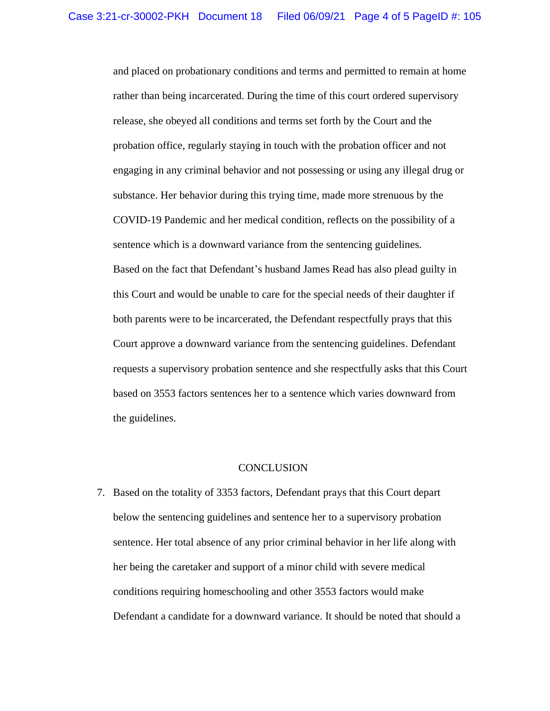and placed on probationary conditions and terms and permitted to remain at home rather than being incarcerated. During the time of this court ordered supervisory release, she obeyed all conditions and terms set forth by the Court and the probation office, regularly staying in touch with the probation officer and not engaging in any criminal behavior and not possessing or using any illegal drug or substance. Her behavior during this trying time, made more strenuous by the COVID-19 Pandemic and her medical condition, reflects on the possibility of a sentence which is a downward variance from the sentencing guidelines. Based on the fact that Defendant's husband James Read has also plead guilty in this Court and would be unable to care for the special needs of their daughter if both parents were to be incarcerated, the Defendant respectfully prays that this Court approve a downward variance from the sentencing guidelines. Defendant requests a supervisory probation sentence and she respectfully asks that this Court based on 3553 factors sentences her to a sentence which varies downward from the guidelines.

#### **CONCLUSION**

7. Based on the totality of 3353 factors, Defendant prays that this Court depart below the sentencing guidelines and sentence her to a supervisory probation sentence. Her total absence of any prior criminal behavior in her life along with her being the caretaker and support of a minor child with severe medical conditions requiring homeschooling and other 3553 factors would make Defendant a candidate for a downward variance. It should be noted that should a